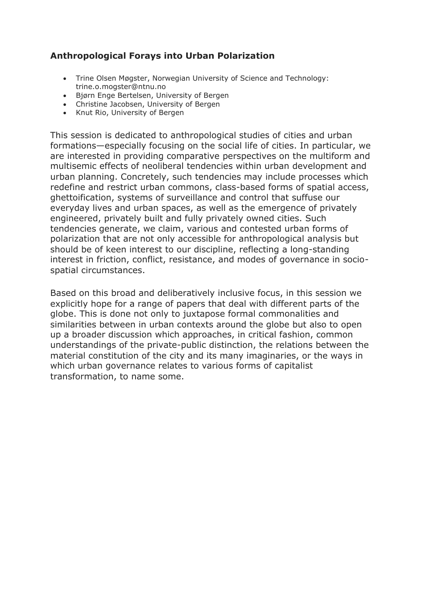# **Anthropological Forays into Urban Polarization**

- Trine Olsen Møgster, Norwegian University of Science and Technology: trine.o.mogster@ntnu.no
- Bjørn Enge Bertelsen, University of Bergen
- Christine Jacobsen, University of Bergen
- Knut Rio, University of Bergen

This session is dedicated to anthropological studies of cities and urban formations—especially focusing on the social life of cities. In particular, we are interested in providing comparative perspectives on the multiform and multisemic effects of neoliberal tendencies within urban development and urban planning. Concretely, such tendencies may include processes which redefine and restrict urban commons, class-based forms of spatial access, ghettoification, systems of surveillance and control that suffuse our everyday lives and urban spaces, as well as the emergence of privately engineered, privately built and fully privately owned cities. Such tendencies generate, we claim, various and contested urban forms of polarization that are not only accessible for anthropological analysis but should be of keen interest to our discipline, reflecting a long-standing interest in friction, conflict, resistance, and modes of governance in sociospatial circumstances.

Based on this broad and deliberatively inclusive focus, in this session we explicitly hope for a range of papers that deal with different parts of the globe. This is done not only to juxtapose formal commonalities and similarities between in urban contexts around the globe but also to open up a broader discussion which approaches, in critical fashion, common understandings of the private-public distinction, the relations between the material constitution of the city and its many imaginaries, or the ways in which urban governance relates to various forms of capitalist transformation, to name some.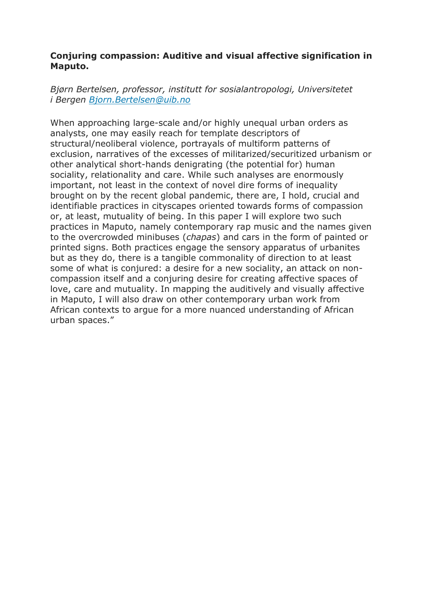### **Conjuring compassion: Auditive and visual affective signification in Maputo.**

*Bjørn Bertelsen, professor, institutt for sosialantropologi, Universitetet i Bergen [Bjorn.Bertelsen@uib.no](mailto:Bjorn.Bertelsen@uib.no)*

When approaching large-scale and/or highly unequal urban orders as analysts, one may easily reach for template descriptors of structural/neoliberal violence, portrayals of multiform patterns of exclusion, narratives of the excesses of militarized/securitized urbanism or other analytical short-hands denigrating (the potential for) human sociality, relationality and care. While such analyses are enormously important, not least in the context of novel dire forms of inequality brought on by the recent global pandemic, there are, I hold, crucial and identifiable practices in cityscapes oriented towards forms of compassion or, at least, mutuality of being. In this paper I will explore two such practices in Maputo, namely contemporary rap music and the names given to the overcrowded minibuses (*chapas*) and cars in the form of painted or printed signs. Both practices engage the sensory apparatus of urbanites but as they do, there is a tangible commonality of direction to at least some of what is conjured: a desire for a new sociality, an attack on noncompassion itself and a conjuring desire for creating affective spaces of love, care and mutuality. In mapping the auditively and visually affective in Maputo, I will also draw on other contemporary urban work from African contexts to argue for a more nuanced understanding of African urban spaces."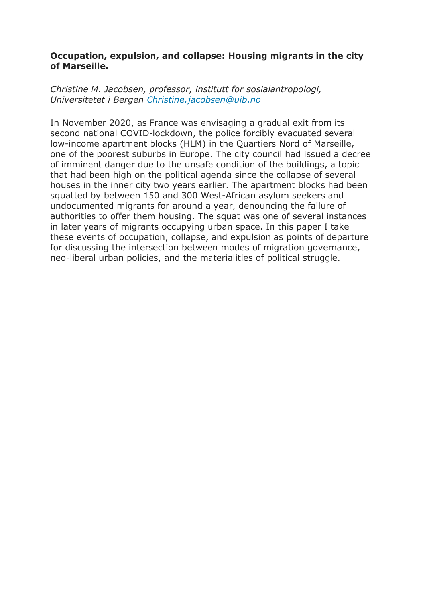### **Occupation, expulsion, and collapse: Housing migrants in the city of Marseille.**

*Christine M. Jacobsen, professor, institutt for sosialantropologi, Universitetet i Bergen [Christine.jacobsen@uib.no](mailto:Christine.jacobsen@uib.no)*

In November 2020, as France was envisaging a gradual exit from its second national COVID-lockdown, the police forcibly evacuated several low-income apartment blocks (HLM) in the Quartiers Nord of Marseille, one of the poorest suburbs in Europe. The city council had issued a decree of imminent danger due to the unsafe condition of the buildings, a topic that had been high on the political agenda since the collapse of several houses in the inner city two years earlier. The apartment blocks had been squatted by between 150 and 300 West-African asylum seekers and undocumented migrants for around a year, denouncing the failure of authorities to offer them housing. The squat was one of several instances in later years of migrants occupying urban space. In this paper I take these events of occupation, collapse, and expulsion as points of departure for discussing the intersection between modes of migration governance, neo-liberal urban policies, and the materialities of political struggle.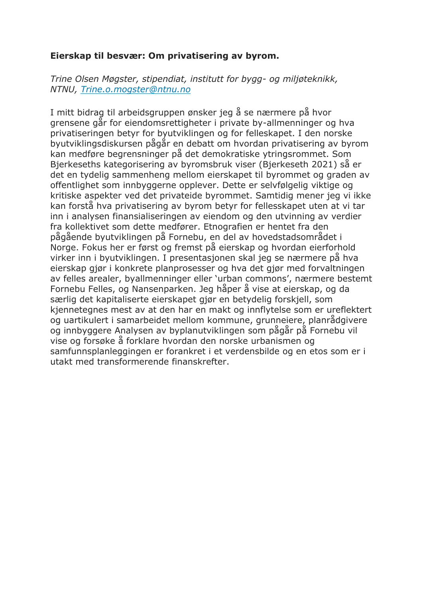### **Eierskap til besvær: Om privatisering av byrom.**

*Trine Olsen Møgster, stipendiat, institutt for bygg- og miljøteknikk, NTNU, [Trine.o.mogster@ntnu.no](mailto:Trine.o.mogster@ntnu.no)*

I mitt bidrag til arbeidsgruppen ønsker jeg å se nærmere på hvor grensene går for eiendomsrettigheter i private by-allmenninger og hva privatiseringen betyr for byutviklingen og for felleskapet. I den norske byutviklingsdiskursen pågår en debatt om hvordan privatisering av byrom kan medføre begrensninger på det demokratiske ytringsrommet. Som Bjerkeseths kategorisering av byromsbruk viser (Bjerkeseth 2021) så er det en tydelig sammenheng mellom eierskapet til byrommet og graden av offentlighet som innbyggerne opplever. Dette er selvfølgelig viktige og kritiske aspekter ved det privateide byrommet. Samtidig mener jeg vi ikke kan forstå hva privatisering av byrom betyr for fellesskapet uten at vi tar inn i analysen finansialiseringen av eiendom og den utvinning av verdier fra kollektivet som dette medfører. Etnografien er hentet fra den pågående byutviklingen på Fornebu, en del av hovedstadsområdet i Norge. Fokus her er først og fremst på eierskap og hvordan eierforhold virker inn i byutviklingen. I presentasjonen skal jeg se nærmere på hva eierskap gjør i konkrete planprosesser og hva det gjør med forvaltningen av felles arealer, byallmenninger eller 'urban commons', nærmere bestemt Fornebu Felles, og Nansenparken. Jeg håper å vise at eierskap, og da særlig det kapitaliserte eierskapet gjør en betydelig forskjell, som kjennetegnes mest av at den har en makt og innflytelse som er ureflektert og uartikulert i samarbeidet mellom kommune, grunneiere, planrådgivere og innbyggere Analysen av byplanutviklingen som pågår på Fornebu vil vise og forsøke å forklare hvordan den norske urbanismen og samfunnsplanleggingen er forankret i et verdensbilde og en etos som er i utakt med transformerende finanskrefter.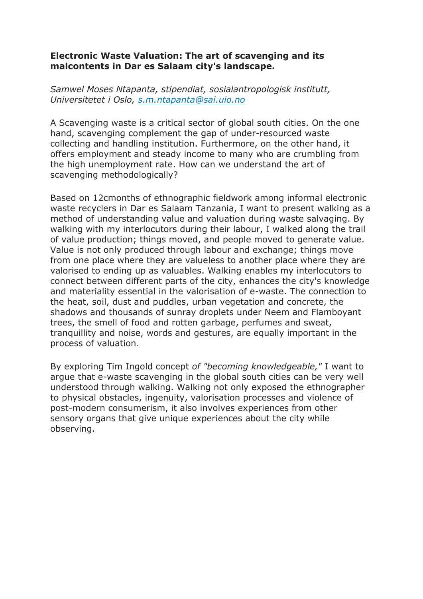### **Electronic Waste Valuation: The art of scavenging and its malcontents in Dar es Salaam city's landscape.**

*Samwel Moses Ntapanta, stipendiat, sosialantropologisk institutt, Universitetet i Oslo, [s.m.ntapanta@sai.uio.no](mailto:s.m.ntapanta@sai.uio.no)*

A Scavenging waste is a critical sector of global south cities. On the one hand, scavenging complement the gap of under-resourced waste collecting and handling institution. Furthermore, on the other hand, it offers employment and steady income to many who are crumbling from the high unemployment rate. How can we understand the art of scavenging methodologically?

Based on 12cmonths of ethnographic fieldwork among informal electronic waste recyclers in Dar es Salaam Tanzania, I want to present walking as a method of understanding value and valuation during waste salvaging. By walking with my interlocutors during their labour, I walked along the trail of value production; things moved, and people moved to generate value. Value is not only produced through labour and exchange; things move from one place where they are valueless to another place where they are valorised to ending up as valuables. Walking enables my interlocutors to connect between different parts of the city, enhances the city's knowledge and materiality essential in the valorisation of e-waste. The connection to the heat, soil, dust and puddles, urban vegetation and concrete, the shadows and thousands of sunray droplets under Neem and Flamboyant trees, the smell of food and rotten garbage, perfumes and sweat, tranquillity and noise, words and gestures, are equally important in the process of valuation.

By exploring Tim Ingold concept *of "becoming knowledgeable,"* I want to argue that e-waste scavenging in the global south cities can be very well understood through walking. Walking not only exposed the ethnographer to physical obstacles, ingenuity, valorisation processes and violence of post-modern consumerism, it also involves experiences from other sensory organs that give unique experiences about the city while observing.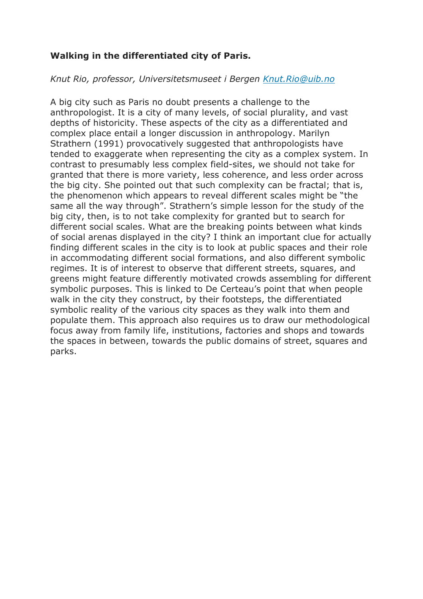## **Walking in the differentiated city of Paris.**

### *Knut Rio, professor, Universitetsmuseet i Bergen [Knut.Rio@uib.no](mailto:Knut.Rio@uib.no)*

A big city such as Paris no doubt presents a challenge to the anthropologist. It is a city of many levels, of social plurality, and vast depths of historicity. These aspects of the city as a differentiated and complex place entail a longer discussion in anthropology. Marilyn Strathern (1991) provocatively suggested that anthropologists have tended to exaggerate when representing the city as a complex system. In contrast to presumably less complex field-sites, we should not take for granted that there is more variety, less coherence, and less order across the big city. She pointed out that such complexity can be fractal; that is, the phenomenon which appears to reveal different scales might be "the same all the way through". Strathern's simple lesson for the study of the big city, then, is to not take complexity for granted but to search for different social scales. What are the breaking points between what kinds of social arenas displayed in the city? I think an important clue for actually finding different scales in the city is to look at public spaces and their role in accommodating different social formations, and also different symbolic regimes. It is of interest to observe that different streets, squares, and greens might feature differently motivated crowds assembling for different symbolic purposes. This is linked to De Certeau's point that when people walk in the city they construct, by their footsteps, the differentiated symbolic reality of the various city spaces as they walk into them and populate them. This approach also requires us to draw our methodological focus away from family life, institutions, factories and shops and towards the spaces in between, towards the public domains of street, squares and parks.